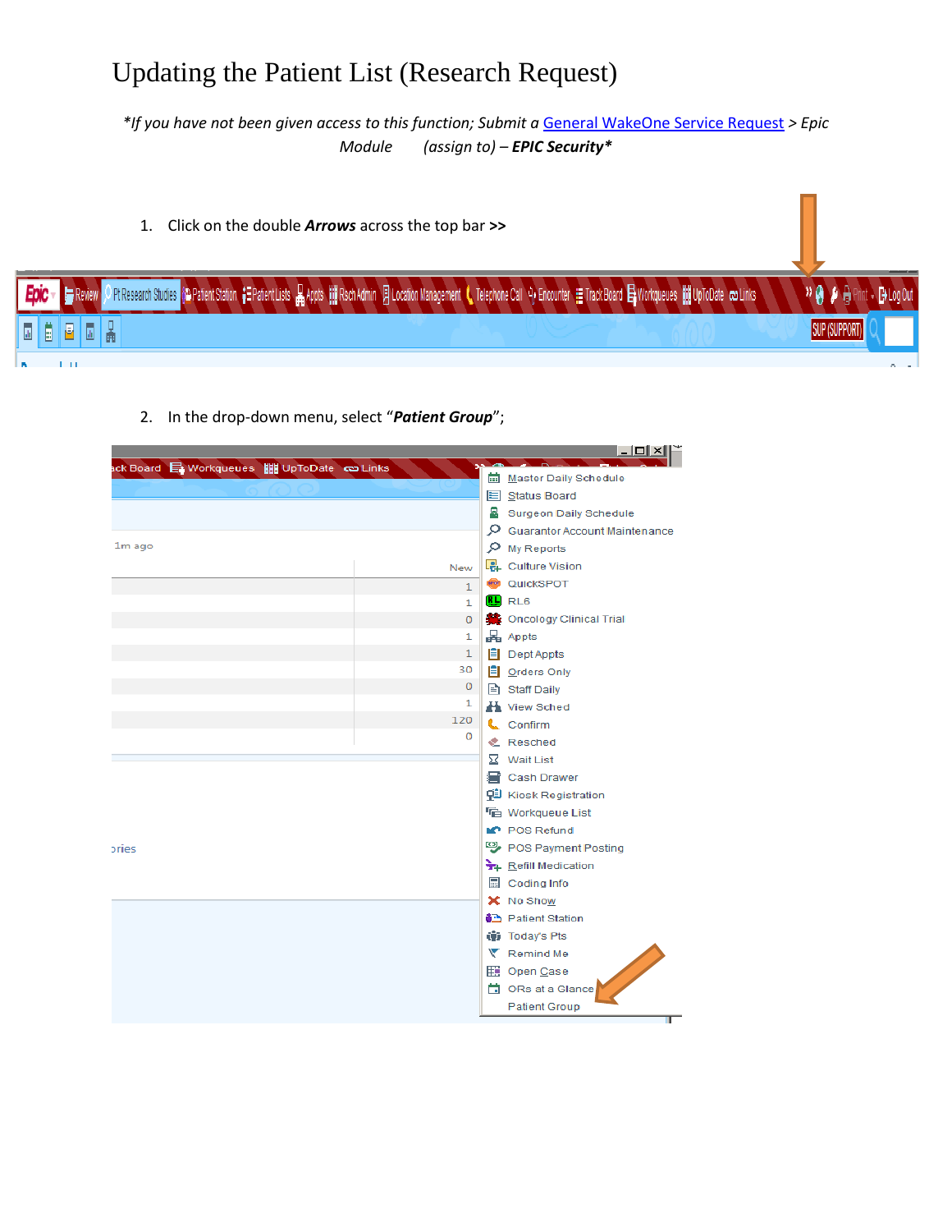*\*If you have not been given access to this function; Submit a* [General WakeOne Service Request](https://wakehealth.service-now.com/nav_to.do?uri=%2Fcom.glideapp.servicecatalog_cat_item_view.do%3Fv%3D1%26sysparm_id%3D72e7061e374a5304c113a9c2b3990e37%26sysparm_link_parent%3Da7770c3c3705ce007aa5b15ec3990e1b%26sysparm_catalog%3De0d08b13c3330100c8b837659bba8fb4%26sysparm_catalog_view%3Dcatalog_default%26sysparm_view%3Dcatalog_default) *> Epic Module (assign to) – EPIC Security\**

- 1. Click on the double *Arrows* across the top bar **>>** O PIResearch Studies on Patient Station 【三Patient Lists 】Appts III RschAdmin 2 Location Management ( Telephone Call 9, Encounter 11 TrackBoard 目 Workqueues III UpToDate ~Links <sup>»</sub> a *b* A Print</sup> Review BL0 晶 **SUP (SUPPORT** 目  $\mathbb{R}$  $1 - 1$ 
	- 2. In the drop-down menu, select "*Patient Group*";

|        |              | <u> -  미 × </u>                            |
|--------|--------------|--------------------------------------------|
|        |              | <b>Master Daily Schedule</b>               |
|        |              | E Status Board                             |
|        |              | Surgeon Daily Schedule                     |
|        |              | Guarantor Account Maintenance              |
| 1m ago |              | $O$ My Reports                             |
|        | New          | Culture Vision                             |
|        | $\mathbf{1}$ | <b>@</b> QuickSPOT                         |
|        | 1.           | $\mathbf{E}$ RL6                           |
|        | $\mathbf{O}$ | <b>C</b> Oncology Clinical Trial           |
|        | 1            | Appts                                      |
|        | 1            | $\equiv$ Dept Appts                        |
|        | 30           | <b>B</b> Orders Only                       |
|        | 0            | Staff Daily                                |
|        | 1            | H View Sched                               |
|        | 120<br>0     | <b>L</b> . Confirm                         |
|        |              | <b>&amp;</b> Resched                       |
|        |              | $\Sigma$ Wait List                         |
|        |              | a Cash Drawer                              |
|        |              | <b>Q Kiosk Registration</b>                |
|        |              | <sup></sup> Workqueue List                 |
|        |              | <b>IC</b> POS Refund                       |
| pries  |              | POS Payment Posting                        |
|        |              | Refill Medication                          |
|        |              | Coding Info                                |
|        |              | X No Show                                  |
|        |              | <b><u><sup>6</sup></u></b> Patient Station |
|        |              | (iii) Today's Pts                          |
|        |              | Remind Me                                  |
|        |              | <b>ED</b> Open Case                        |
|        |              | □ ORs at a Glance                          |
|        |              | <b>Patient Group</b>                       |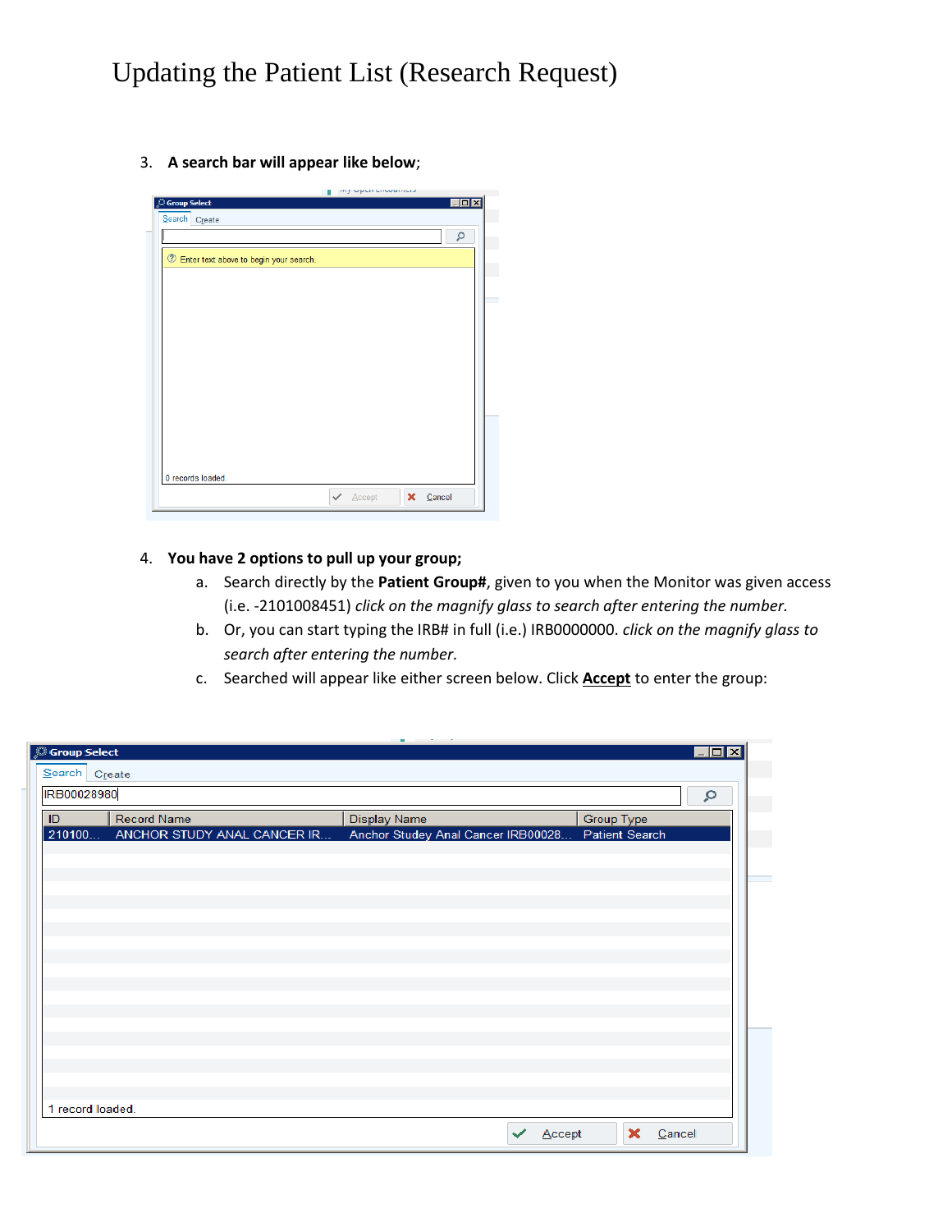3. **A search bar will appear like below**;

| Search Create                            |  | Q |
|------------------------------------------|--|---|
| 2 Enter text above to begin your search. |  |   |
|                                          |  |   |
|                                          |  |   |
|                                          |  |   |
|                                          |  |   |
|                                          |  |   |
|                                          |  |   |
|                                          |  |   |
|                                          |  |   |
|                                          |  |   |
|                                          |  |   |
|                                          |  |   |
|                                          |  |   |
|                                          |  |   |
|                                          |  |   |
| 0 records loaded.                        |  |   |

#### 4. **You have 2 options to pull up your group;**

- a. Search directly by the **Patient Group#**, given to you when the Monitor was given access (i.e. -2101008451) *click on the magnify glass to search after entering the number.*
- b. Or, you can start typing the IRB# in full (i.e.) IRB0000000. *click on the magnify glass to search after entering the number.*
- c. Searched will appear like either screen below. Click **Accept** to enter the group:

| <b>Group Select</b> |                             |                                    |                       | $\blacksquare$ $\blacksquare$ $\times$ |
|---------------------|-----------------------------|------------------------------------|-----------------------|----------------------------------------|
| Search Create       |                             |                                    |                       |                                        |
| IRB00028980         |                             |                                    |                       | Q                                      |
| ID                  | <b>Record Name</b>          | <b>Display Name</b>                | <b>Group Type</b>     |                                        |
| 210100              | ANCHOR STUDY ANAL CANCER IR | Anchor Studey Anal Cancer IRB00028 | <b>Patient Search</b> |                                        |
|                     |                             |                                    |                       |                                        |
|                     |                             |                                    |                       |                                        |
|                     |                             |                                    |                       |                                        |
|                     |                             |                                    |                       |                                        |
|                     |                             |                                    |                       |                                        |
|                     |                             |                                    |                       |                                        |
|                     |                             |                                    |                       |                                        |
|                     |                             |                                    |                       |                                        |
|                     |                             |                                    |                       |                                        |
|                     |                             |                                    |                       |                                        |
|                     |                             |                                    |                       |                                        |
|                     |                             |                                    |                       |                                        |
|                     |                             |                                    |                       |                                        |
|                     |                             |                                    |                       |                                        |
| 1 record loaded.    |                             |                                    |                       |                                        |
|                     |                             | Accept                             | ×<br>Cancel           |                                        |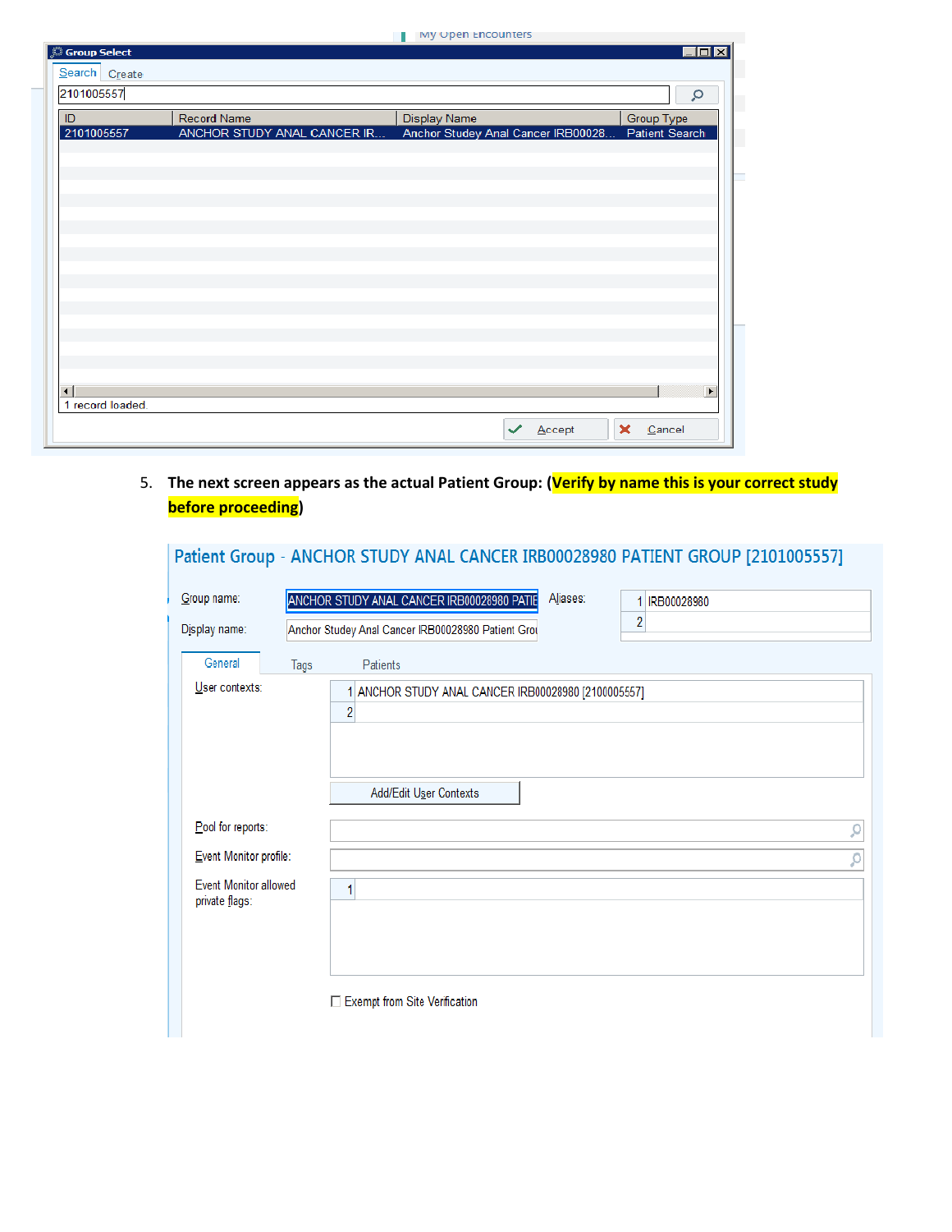**My Open Encounters** 

| <b>Group Select</b>                        |                                                   | ing open choosiners                                       | $\blacksquare$ $\blacksquare$ $\blacksquare$ |
|--------------------------------------------|---------------------------------------------------|-----------------------------------------------------------|----------------------------------------------|
| Search Create                              |                                                   |                                                           |                                              |
| 2101005557                                 |                                                   |                                                           | Q                                            |
|                                            |                                                   |                                                           |                                              |
| ID<br>2101005557                           | <b>Record Name</b><br>ANCHOR STUDY ANAL CANCER IR | <b>Display Name</b><br>Anchor Studey Anal Cancer IRB00028 | <b>Group Type</b><br>Patient Search          |
|                                            |                                                   |                                                           |                                              |
|                                            |                                                   |                                                           |                                              |
|                                            |                                                   |                                                           |                                              |
|                                            |                                                   |                                                           |                                              |
|                                            |                                                   |                                                           |                                              |
|                                            |                                                   |                                                           |                                              |
|                                            |                                                   |                                                           |                                              |
|                                            |                                                   |                                                           |                                              |
|                                            |                                                   |                                                           |                                              |
|                                            |                                                   |                                                           |                                              |
|                                            |                                                   |                                                           |                                              |
|                                            |                                                   |                                                           |                                              |
|                                            |                                                   |                                                           |                                              |
|                                            |                                                   |                                                           |                                              |
| $\left  \cdot \right $<br>1 record loaded. |                                                   |                                                           | $\blacktriangleright$                        |
|                                            |                                                   |                                                           |                                              |
|                                            |                                                   | Accept                                                    | ×<br>Cancel                                  |

5. **The next screen appears as the actual Patient Group: (Verify by name this is your correct study before proceeding)**

### Patient Group - ANCHOR STUDY ANAL CANCER IRB00028980 PATIENT GROUP [2101005557]

| Group name:                                    |      | Aliases:<br>ANCHOR STUDY ANAL CANCER IRB00028980 PATIE<br>IRB00028980<br>1 |   |
|------------------------------------------------|------|----------------------------------------------------------------------------|---|
| Display name:                                  |      | $\overline{c}$<br>Anchor Studey Anal Cancer IRB00028980 Patient Grou       |   |
| General<br>User contexts:                      | Tags | Patients<br>1 ANCHOR STUDY ANAL CANCER IRB00028980 [2100005557]<br>2       |   |
| Pool for reports:                              |      | Add/Edit User Contexts                                                     | ρ |
| Event Monitor profile:                         |      |                                                                            | ρ |
| <b>Event Monitor allowed</b><br>private flags: |      | 1<br>Exempt from Site Verification                                         |   |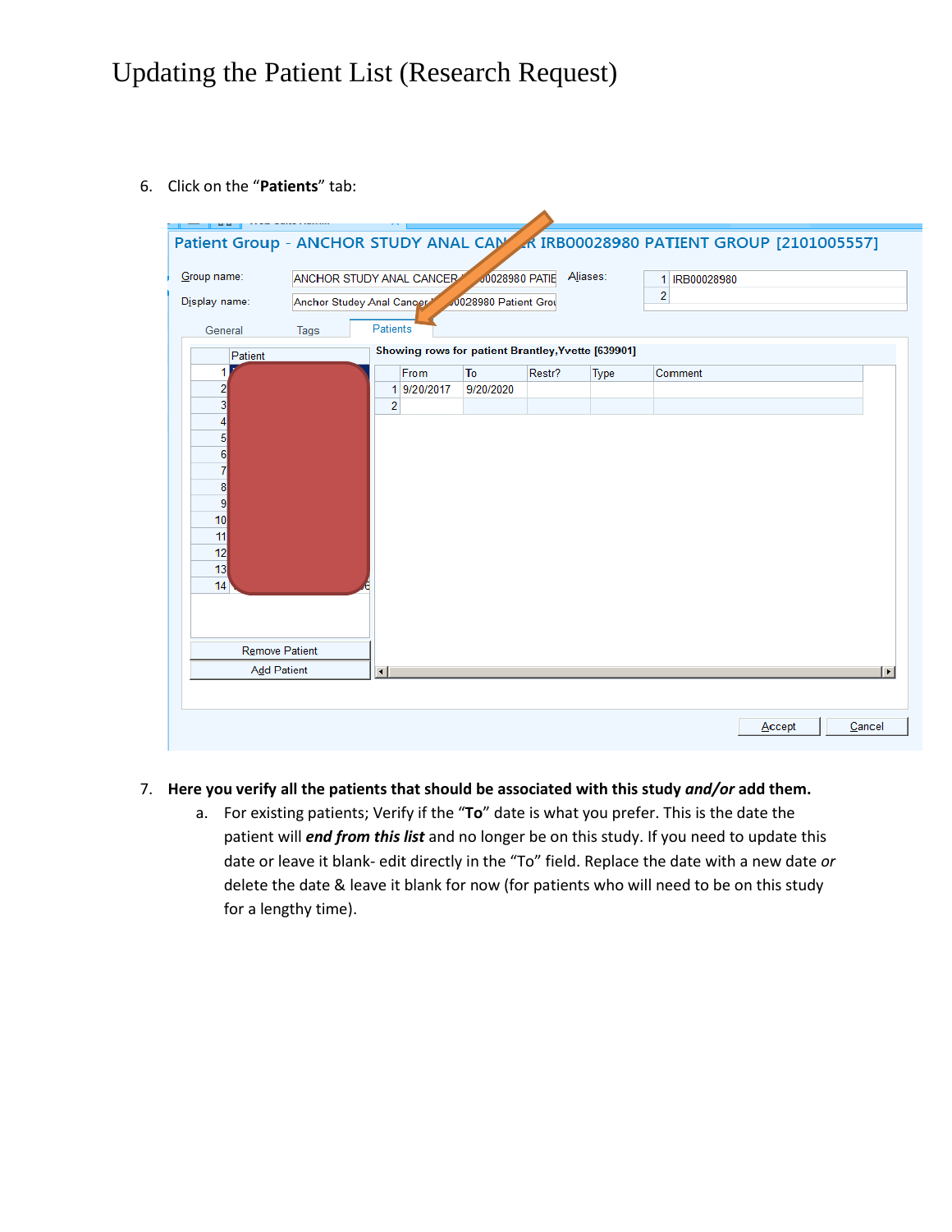6. Click on the "**Patients**" tab:

| Patient Group - ANCHOR STUDY ANAL CAM A IRB00028980 PATIENT GROUP [2101005557] |                           |                        |                                                    |                      |        |          |                |        |                       |
|--------------------------------------------------------------------------------|---------------------------|------------------------|----------------------------------------------------|----------------------|--------|----------|----------------|--------|-----------------------|
| Group name:                                                                    |                           |                        | ANCHOR STUDY ANAL CANCER                           | 00028980 PATIE       |        | Aliases: | 1 IRB00028980  |        |                       |
| Display name:                                                                  | Anchor Studey Anal Cancer |                        |                                                    | 0028980 Patient Grou |        |          | $\overline{2}$ |        |                       |
| General                                                                        | Tags                      | Patients               |                                                    |                      |        |          |                |        |                       |
| Patient                                                                        |                           |                        | Showing rows for patient Brantley, Yvette [639901] |                      |        |          |                |        |                       |
|                                                                                |                           |                        | From                                               | To                   | Restr? | Type     | Comment        |        |                       |
| 2<br>3                                                                         |                           | $\overline{2}$         | 1 9/20/2017                                        | 9/20/2020            |        |          |                |        |                       |
|                                                                                |                           |                        |                                                    |                      |        |          |                |        |                       |
| 5                                                                              |                           |                        |                                                    |                      |        |          |                |        |                       |
| 6                                                                              |                           |                        |                                                    |                      |        |          |                |        |                       |
| 8                                                                              |                           |                        |                                                    |                      |        |          |                |        |                       |
| 9                                                                              |                           |                        |                                                    |                      |        |          |                |        |                       |
| 10                                                                             |                           |                        |                                                    |                      |        |          |                |        |                       |
| 11                                                                             |                           |                        |                                                    |                      |        |          |                |        |                       |
| 12<br>13                                                                       |                           |                        |                                                    |                      |        |          |                |        |                       |
| 14                                                                             |                           |                        |                                                    |                      |        |          |                |        |                       |
|                                                                                |                           |                        |                                                    |                      |        |          |                |        |                       |
|                                                                                |                           |                        |                                                    |                      |        |          |                |        |                       |
| <b>Remove Patient</b>                                                          |                           |                        |                                                    |                      |        |          |                |        |                       |
| <b>Add Patient</b>                                                             |                           | $\left  \cdot \right $ |                                                    |                      |        |          |                |        | $\blacktriangleright$ |
|                                                                                |                           |                        |                                                    |                      |        |          |                |        |                       |
|                                                                                |                           |                        |                                                    |                      |        |          |                |        |                       |
|                                                                                |                           |                        |                                                    |                      |        |          |                | Accept | Cancel                |

#### 7. **Here you verify all the patients that should be associated with this study** *and/or* **add them.**

a. For existing patients; Verify if the "**To**" date is what you prefer. This is the date the patient will *end from this list* and no longer be on this study. If you need to update this date or leave it blank- edit directly in the "To" field. Replace the date with a new date *or* delete the date & leave it blank for now (for patients who will need to be on this study for a lengthy time).